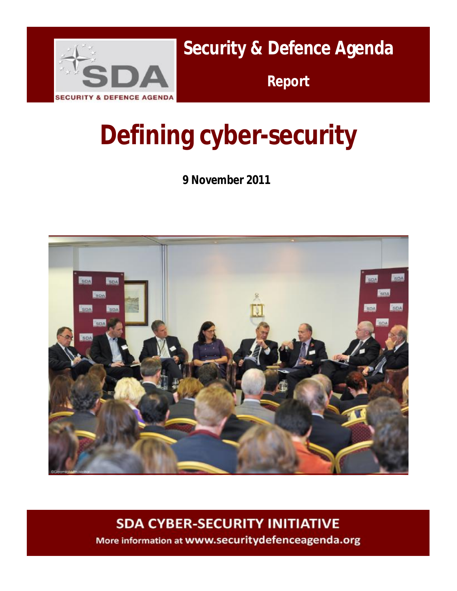

# **Security & Defence Agenda**

**Report** 

# **Defining cyber-security**

**9 November 2011** 



# **SDA CYBER-SECURITY INITIATIVE**

More information at www.securitydefenceagenda.org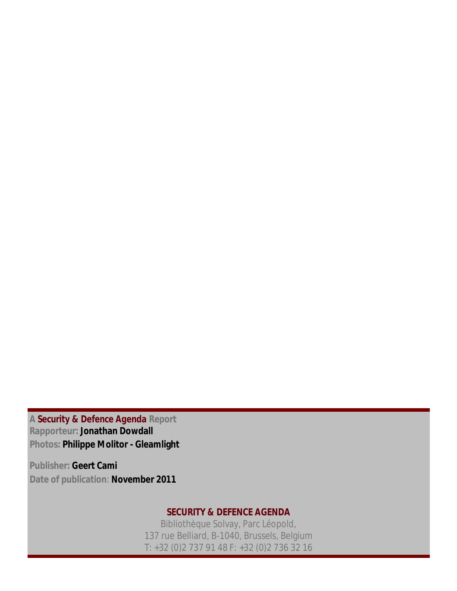**A** *Security & Defence Agenda* **Report Rapporteur: Jonathan Dowdall Photos: Philippe Molitor - Gleamlight** 

**Publisher: Geert Cami Date of publication: November 2011** 

#### **SECURITY & DEFENCE AGENDA**

Bibliothèque Solvay, Parc Léopold, 137 rue Belliard, B-1040, Brussels, Belgium T: +32 (0)2 737 91 48 F: +32 (0)2 736 32 16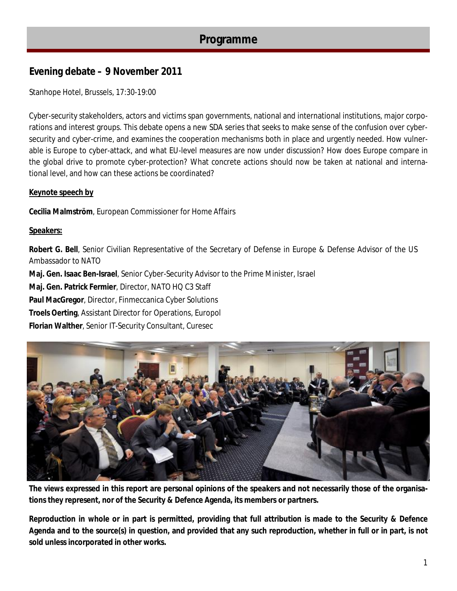# **Programme**

#### **Evening debate – 9 November 2011**

Stanhope Hotel, Brussels, 17:30-19:00

Cyber-security stakeholders, actors and victims span governments, national and international institutions, major corporations and interest groups. This debate opens a new SDA series that seeks to make sense of the confusion over cybersecurity and cyber-crime, and examines the cooperation mechanisms both in place and urgently needed. How vulnerable is Europe to cyber-attack, and what EU-level measures are now under discussion? How does Europe compare in the global drive to promote cyber-protection? What concrete actions should now be taken at national and international level, and how can these actions be coordinated?

#### **Keynote speech by**

**Cecilia Malmström**, European Commissioner for Home Affairs

#### **Speakers:**

**Robert G. Bell**, Senior Civilian Representative of the Secretary of Defense in Europe & Defense Advisor of the US Ambassador to NATO

**Maj. Gen. Isaac Ben-Israel**, Senior Cyber-Security Advisor to the Prime Minister, Israel

**Maj. Gen. Patrick Fermier**, Director, NATO HQ C3 Staff

**Paul MacGregor**, Director, Finmeccanica Cyber Solutions

**Troels Oerting**, Assistant Director for Operations, Europol

**Florian Walther**, Senior IT-Security Consultant, Curesec



The views expressed in this report are personal opinions of the speakers and not necessarily those of the organisa**tions they represent, nor of the Security & Defence Agenda, its members or partners.** 

Reproduction in whole or in part is permitted, providing that full attribution is made to the Security & Defence Agenda and to the source(s) in question, and provided that any such reproduction, whether in full or in part, is not **sold unless incorporated in other works.**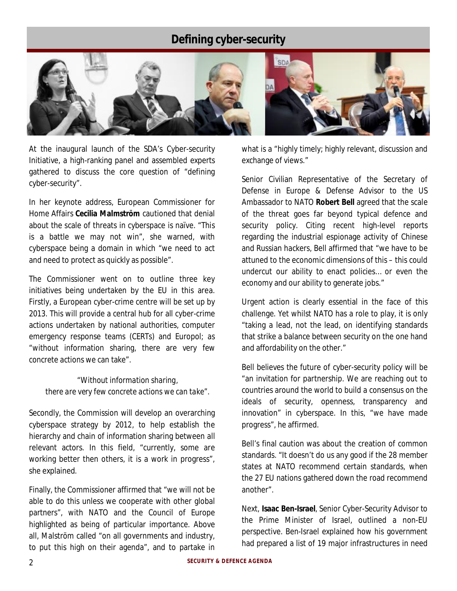

At the inaugural launch of the SDA's Cyber-security Initiative, a high-ranking panel and assembled experts gathered to discuss the core question of "defining cyber-security".

In her keynote address, European Commissioner for Home Affairs **Cecilia Malmström** cautioned that denial about the scale of threats in cyberspace is naïve. "This is a battle we may not win", she warned, with cyberspace being a domain in which "we need to act and need to protect as quickly as possible".

The Commissioner went on to outline three key initiatives being undertaken by the EU in this area. Firstly, a European cyber-crime centre will be set up by 2013. This will provide a central hub for all cyber-crime actions undertaken by national authorities, computer emergency response teams (CERTs) and Europol; as "without information sharing, there are very few concrete actions we can take".

#### *"Without information sharing, there are very few concrete actions we can take".*

Secondly, the Commission will develop an overarching cyberspace strategy by 2012, to help establish the hierarchy and chain of information sharing between all relevant actors. In this field, "currently, some are working better then others, it is a work in progress", she explained.

Finally, the Commissioner affirmed that "we will not be able to do this unless we cooperate with other global partners", with NATO and the Council of Europe highlighted as being of particular importance. Above all, Malström called "on all governments and industry, to put this high on their agenda", and to partake in

what is a "highly timely; highly relevant, discussion and exchange of views."

Senior Civilian Representative of the Secretary of Defense in Europe & Defense Advisor to the US Ambassador to NATO **Robert Bell** agreed that the scale of the threat goes far beyond typical defence and security policy. Citing recent high-level reports regarding the industrial espionage activity of Chinese and Russian hackers, Bell affirmed that "we have to be attuned to the economic dimensions of this – this could undercut our ability to enact policies… or even the economy and our ability to generate jobs."

Urgent action is clearly essential in the face of this challenge. Yet whilst NATO has a role to play, it is only "taking a lead, not *the* lead, on identifying standards that strike a balance between security on the one hand and affordability on the other."

Bell believes the future of cyber-security policy will be "an invitation for partnership. We are reaching out to countries around the world to build a consensus on the ideals of security, openness, transparency and innovation" in cyberspace. In this, "we have made progress", he affirmed.

Bell's final caution was about the creation of common standards. "It doesn't do us any good if the 28 member states at NATO recommend certain standards, when the 27 EU nations gathered down the road recommend another".

Next, **Isaac Ben-Israel**, Senior Cyber-Security Advisor to the Prime Minister of Israel, outlined a non-EU perspective. Ben-Israel explained how his government had prepared a list of 19 major infrastructures in need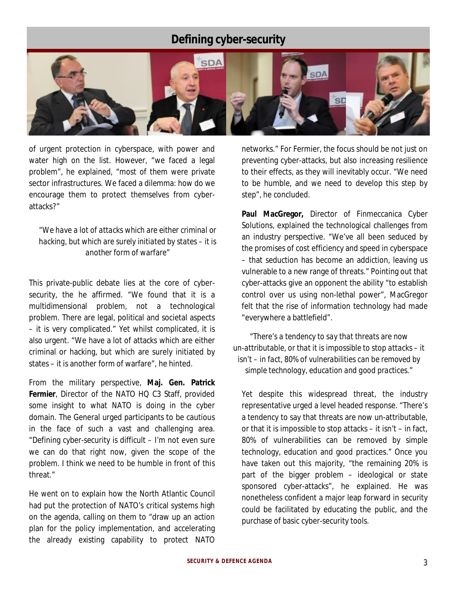

of urgent protection in cyberspace, with power and water high on the list. However, "we faced a legal problem", he explained, "most of them were private sector infrastructures. We faced a dilemma: how do we encourage them to protect themselves from cyberattacks?"

#### *"We have a lot of attacks which are either criminal or hacking, but which are surely initiated by states – it is another form of warfare"*

This private-public debate lies at the core of cybersecurity, the he affirmed. "We found that it is a multidimensional problem, not a technological problem. There are legal, political and societal aspects – it is very complicated." Yet whilst complicated, it is also urgent. "We have a lot of attacks which are either criminal or hacking, but which are surely initiated by states – it is another form of warfare", he hinted.

From the military perspective, **Maj. Gen. Patrick Fermier**, Director of the NATO HQ C3 Staff, provided some insight to what NATO is doing in the cyber domain. The General urged participants to be cautious in the face of such a vast and challenging area. "Defining cyber-security is difficult – I'm not even sure we can do that right now, given the scope of the problem. I think we need to be humble in front of this threat."

He went on to explain how the North Atlantic Council had put the protection of NATO's critical systems high on the agenda, calling on them to "draw up an action plan for the policy implementation, and accelerating the already existing capability to protect NATO

networks." For Fermier, the focus should be not just on preventing cyber-attacks, but also increasing resilience to their effects, as they will inevitably occur. "We need to be humble, and we need to develop this step by step", he concluded.

**Paul MacGregor,** Director of Finmeccanica Cyber Solutions, explained the technological challenges from an industry perspective. "We've all been seduced by the promises of cost efficiency and speed in cyberspace – that seduction has become an addiction, leaving us vulnerable to a new range of threats." Pointing out that cyber-attacks give an opponent the ability "to establish control over us using non-lethal power", MacGregor felt that the rise of information technology had made "everywhere a battlefield".

*"There's a tendency to say that threats are now un-attributable, or that it is impossible to stop attacks – it isn't – in fact, 80% of vulnerabilities can be removed by simple technology, education and good practices."* 

Yet despite this widespread threat, the industry representative urged a level headed response. "There's a tendency to say that threats are now un-attributable, or that it is impossible to stop attacks – it isn't – in fact, 80% of vulnerabilities can be removed by simple technology, education and good practices." Once you have taken out this majority, "the remaining 20% is part of the bigger problem – ideological or state sponsored cyber-attacks", he explained. He was nonetheless confident a major leap forward in security could be facilitated by educating the public, and the purchase of basic cyber-security tools.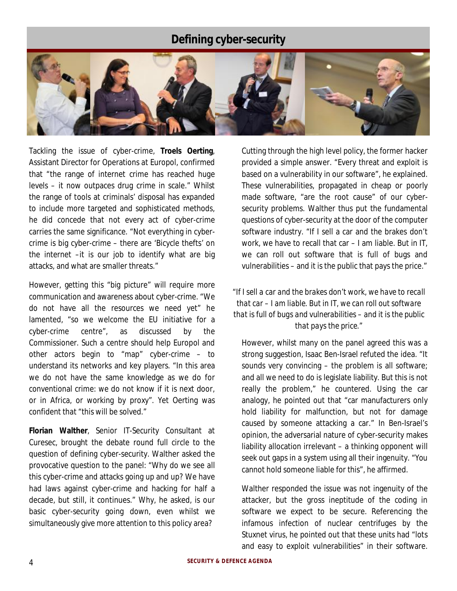

Tackling the issue of cyber-crime, **Troels Oerting**, Assistant Director for Operations at Europol, confirmed that "the range of internet crime has reached huge levels – it now outpaces drug crime in scale." Whilst the range of tools at criminals' disposal has expanded to include more targeted and sophisticated methods, he did concede that not every act of cyber-crime carries the same significance. "Not everything in cybercrime is big cyber-crime – there are 'Bicycle thefts' on the internet –it is our job to identify what are big attacks, and what are smaller threats."

However, getting this "big picture" will require more communication and awareness about cyber-crime. "We do not have all the resources we need yet" he lamented, "so we welcome the EU initiative for a cyber-crime centre", as discussed by the Commissioner. Such a centre should help Europol and other actors begin to "map" cyber-crime – to understand its networks and key players. "In this area we do not have the same knowledge as we do for conventional crime: we do not know if it is next door, or in Africa, or working by proxy". Yet Oerting was confident that "this will be solved."

**Florian Walther**, Senior IT-Security Consultant at Curesec, brought the debate round full circle to the question of defining cyber-security. Walther asked the provocative question to the panel: "Why do we see all this cyber-crime and attacks going up and up? We have had laws against cyber-crime and hacking for half a decade, but still, it continues." Why, he asked, is our basic cyber-security going down, even whilst we simultaneously give more attention to this policy area?

Cutting through the high level policy, the former hacker provided a simple answer. "Every threat and exploit is based on a vulnerability in our software", he explained. These vulnerabilities, propagated in cheap or poorly made software, "are the root cause" of our cybersecurity problems. Walther thus put the fundamental questions of cyber-security at the door of the computer software industry. "If I sell a car and the brakes don't work, we have to recall that car – I am liable. But in IT, we can roll out software that is full of bugs and vulnerabilities – and it is the public that pays the price."

#### *"If I sell a car and the brakes don't work, we have to recall that car – I am liable. But in IT, we can roll out software that is full of bugs and vulnerabilities – and it is the public that pays the price."*

However, whilst many on the panel agreed this was a strong suggestion, Isaac Ben-Israel refuted the idea. "It sounds very convincing – the problem is all software; and all we need to do is legislate liability. But this is not really the problem," he countered. Using the car analogy, he pointed out that "car manufacturers only hold liability for malfunction, but not for damage caused by someone attacking a car." In Ben-Israel's opinion, the adversarial nature of cyber-security makes liability allocation irrelevant – a thinking opponent will seek out gaps in a system using all their ingenuity. "You cannot hold someone liable for this", he affirmed.

Walther responded the issue was not ingenuity of the attacker, but the gross ineptitude of the coding in software we expect to be secure. Referencing the infamous infection of nuclear centrifuges by the Stuxnet virus, he pointed out that these units had "lots and easy to exploit vulnerabilities" in their software.